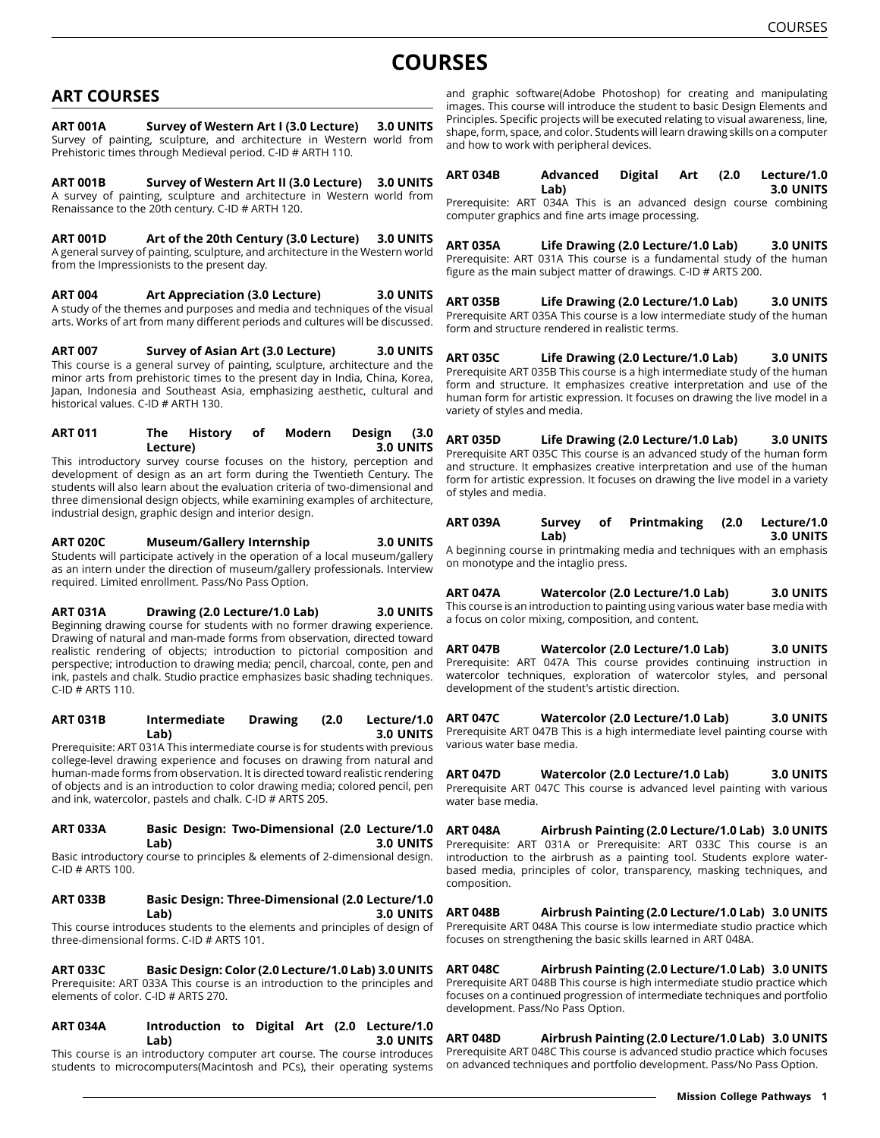# **COURSES**

# **ART COURSES**

**ART 001A Survey of Western Art I (3.0 Lecture) 3.0 UNITS** Survey of painting, sculpture, and architecture in Western world from Prehistoric times through Medieval period. C-ID # ARTH 110.

**ART 001B Survey of Western Art II (3.0 Lecture) 3.0 UNITS** A survey of painting, sculpture and architecture in Western world from Renaissance to the 20th century. C-ID # ARTH 120.

**ART 001D Art of the 20th Century (3.0 Lecture) 3.0 UNITS** A general survey of painting, sculpture, and architecture in the Western world from the Impressionists to the present day.

**ART 004 Art Appreciation (3.0 Lecture) 3.0 UNITS** A study of the themes and purposes and media and techniques of the visual arts. Works of art from many different periods and cultures will be discussed.

**ART 007 Survey of Asian Art (3.0 Lecture) 3.0 UNITS** This course is a general survey of painting, sculpture, architecture and the minor arts from prehistoric times to the present day in India, China, Korea, Japan, Indonesia and Southeast Asia, emphasizing aesthetic, cultural and historical values. C-ID # ARTH 130.

**ART 011 The History of Modern Design (3.0 Lecture) 3.0 UNITS** This introductory survey course focuses on the history, perception and development of design as an art form during the Twentieth Century. The students will also learn about the evaluation criteria of two-dimensional and three dimensional design objects, while examining examples of architecture, industrial design, graphic design and interior design.

**ART 020C Museum/Gallery Internship 3.0 UNITS** Students will participate actively in the operation of a local museum/gallery as an intern under the direction of museum/gallery professionals. Interview required. Limited enrollment. Pass/No Pass Option.

**ART 031A Drawing (2.0 Lecture/1.0 Lab) 3.0 UNITS** Beginning drawing course for students with no former drawing experience. Drawing of natural and man-made forms from observation, directed toward realistic rendering of objects; introduction to pictorial composition and perspective; introduction to drawing media; pencil, charcoal, conte, pen and ink, pastels and chalk. Studio practice emphasizes basic shading techniques. C-ID # ARTS 110.

**ART 031B Intermediate Drawing (2.0 Lecture/1.0 Lab) 3.0 UNITS** Prerequisite: ART 031A This intermediate course is for students with previous college-level drawing experience and focuses on drawing from natural and human-made forms from observation. It is directed toward realistic rendering of objects and is an introduction to color drawing media; colored pencil, pen and ink, watercolor, pastels and chalk. C-ID # ARTS 205.

#### **ART 033A Basic Design: Two-Dimensional (2.0 Lecture/1.0 Lab) 3.0 UNITS**

Basic introductory course to principles & elements of 2-dimensional design. C-ID # ARTS 100.

**ART 033B Basic Design: Three-Dimensional (2.0 Lecture/1.0 Lab) 3.0 UNITS**

This course introduces students to the elements and principles of design of three-dimensional forms. C-ID # ARTS 101.

**ART 033C Basic Design: Color (2.0 Lecture/1.0 Lab) 3.0 UNITS** Prerequisite: ART 033A This course is an introduction to the principles and elements of color. C-ID # ARTS 270.

**ART 034A Introduction to Digital Art (2.0 Lecture/1.0 Lab) 3.0 UNITS** This course is an introductory computer art course. The course introduces

students to microcomputers(Macintosh and PCs), their operating systems

and graphic software(Adobe Photoshop) for creating and manipulating images. This course will introduce the student to basic Design Elements and Principles. Specific projects will be executed relating to visual awareness, line, shape, form, space, and color. Students will learn drawing skills on a computer and how to work with peripheral devices.

| ART 034B | Advanced | Digital Art (2.0 |  | Lecture/1.0      |
|----------|----------|------------------|--|------------------|
|          | Lab)     |                  |  | <b>3.0 UNITS</b> |
|          |          |                  |  |                  |

Prerequisite: ART 034A This is an advanced design course combining computer graphics and fine arts image processing.

**ART 035A Life Drawing (2.0 Lecture/1.0 Lab) 3.0 UNITS** Prerequisite: ART 031A This course is a fundamental study of the human figure as the main subject matter of drawings. C-ID # ARTS 200.

**ART 035B Life Drawing (2.0 Lecture/1.0 Lab) 3.0 UNITS** Prerequisite ART 035A This course is a low intermediate study of the human form and structure rendered in realistic terms.

**ART 035C Life Drawing (2.0 Lecture/1.0 Lab) 3.0 UNITS** Prerequisite ART 035B This course is a high intermediate study of the human form and structure. It emphasizes creative interpretation and use of the human form for artistic expression. It focuses on drawing the live model in a variety of styles and media.

**ART 035D Life Drawing (2.0 Lecture/1.0 Lab) 3.0 UNITS** Prerequisite ART 035C This course is an advanced study of the human form and structure. It emphasizes creative interpretation and use of the human form for artistic expression. It focuses on drawing the live model in a variety of styles and media.

| ART 039A | Survey | of | Printmaking (2.0 Lecture/1.0 |                  |
|----------|--------|----|------------------------------|------------------|
|          | Lab)   |    |                              | <b>3.0 UNITS</b> |

A beginning course in printmaking media and techniques with an emphasis on monotype and the intaglio press.

**ART 047A Watercolor (2.0 Lecture/1.0 Lab) 3.0 UNITS** This course is an introduction to painting using various water base media with a focus on color mixing, composition, and content.

**ART 047B Watercolor (2.0 Lecture/1.0 Lab) 3.0 UNITS** Prerequisite: ART 047A This course provides continuing instruction in watercolor techniques, exploration of watercolor styles, and personal development of the student's artistic direction.

**ART 047C Watercolor (2.0 Lecture/1.0 Lab) 3.0 UNITS** Prerequisite ART 047B This is a high intermediate level painting course with various water base media.

**ART 047D Watercolor (2.0 Lecture/1.0 Lab) 3.0 UNITS** Prerequisite ART 047C This course is advanced level painting with various water base media.

**ART 048A Airbrush Painting (2.0 Lecture/1.0 Lab) 3.0 UNITS** Prerequisite: ART 031A or Prerequisite: ART 033C This course is an introduction to the airbrush as a painting tool. Students explore waterbased media, principles of color, transparency, masking techniques, and composition.

**ART 048B Airbrush Painting (2.0 Lecture/1.0 Lab) 3.0 UNITS** Prerequisite ART 048A This course is low intermediate studio practice which focuses on strengthening the basic skills learned in ART 048A.

**ART 048C Airbrush Painting (2.0 Lecture/1.0 Lab) 3.0 UNITS** Prerequisite ART 048B This course is high intermediate studio practice which focuses on a continued progression of intermediate techniques and portfolio development. Pass/No Pass Option.

**ART 048D Airbrush Painting (2.0 Lecture/1.0 Lab) 3.0 UNITS** Prerequisite ART 048C This course is advanced studio practice which focuses on advanced techniques and portfolio development. Pass/No Pass Option.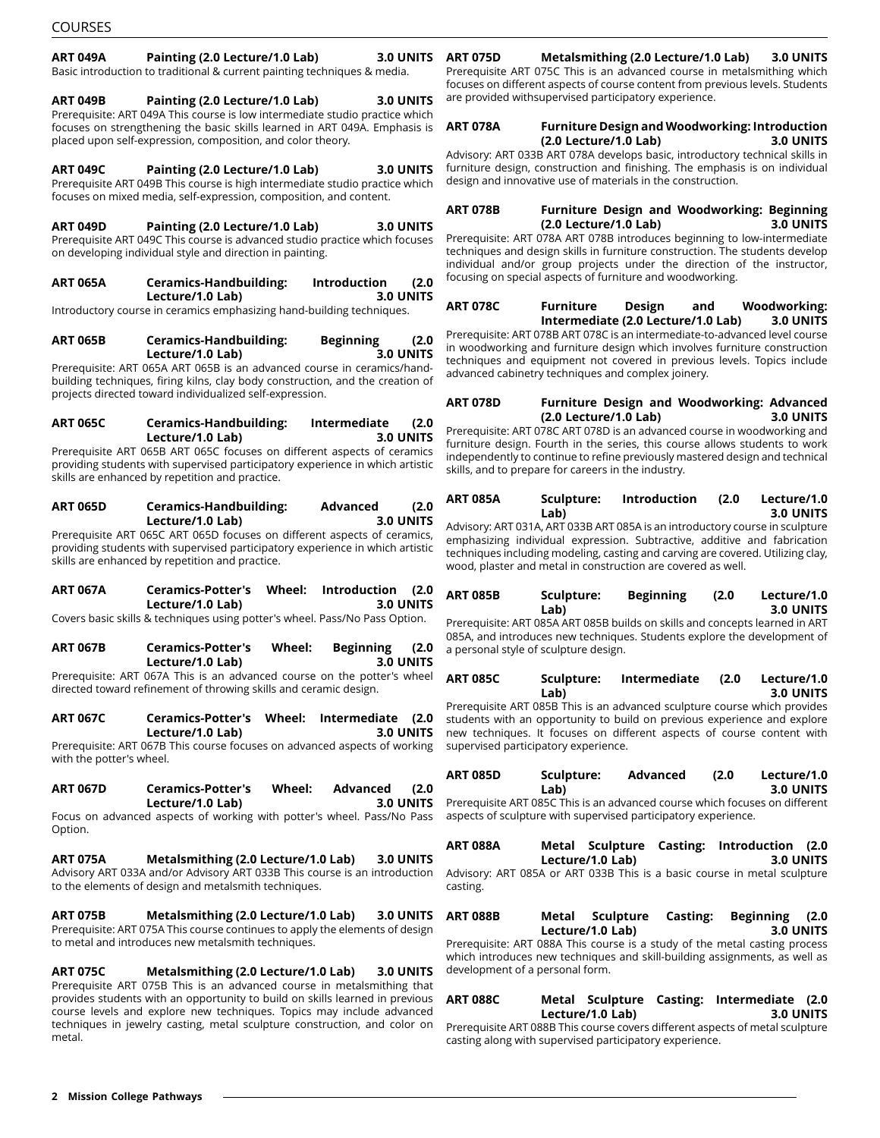## **ART 049A Painting (2.0 Lecture/1.0 Lab) 3.0 UNITS**

Basic introduction to traditional & current painting techniques & media.

**ART 049B Painting (2.0 Lecture/1.0 Lab) 3.0 UNITS** Prerequisite: ART 049A This course is low intermediate studio practice which focuses on strengthening the basic skills learned in ART 049A. Emphasis is placed upon self-expression, composition, and color theory.

**ART 049C Painting (2.0 Lecture/1.0 Lab) 3.0 UNITS** Prerequisite ART 049B This course is high intermediate studio practice which focuses on mixed media, self-expression, composition, and content.

**ART 049D Painting (2.0 Lecture/1.0 Lab) 3.0 UNITS** Prerequisite ART 049C This course is advanced studio practice which focuses on developing individual style and direction in painting.

**ART 065A Ceramics-Handbuilding: Introduction (2.0 Lecture/1.0 Lab) 3.0 UNITS**

Introductory course in ceramics emphasizing hand-building techniques.

**ART 065B Ceramics-Handbuilding: Beginning (2.0 Lecture/1.0 Lab) 3.0 UNITS**

Prerequisite: ART 065A ART 065B is an advanced course in ceramics/handbuilding techniques, firing kilns, clay body construction, and the creation of projects directed toward individualized self-expression.

#### **ART 065C Ceramics-Handbuilding: Intermediate (2.0 Lecture/1.0 Lab) 3.0 UNITS**

Prerequisite ART 065B ART 065C focuses on different aspects of ceramics providing students with supervised participatory experience in which artistic skills are enhanced by repetition and practice.

**ART 065D Ceramics-Handbuilding: Advanced (2.0 Lecture/1.0 Lab) 3.0 UNITS** Prerequisite ART 065C ART 065D focuses on different aspects of ceramics, providing students with supervised participatory experience in which artistic

**ART 067A Ceramics-Potter's Wheel: Introduction (2.0 Lecture/1.0 Lab)** 

skills are enhanced by repetition and practice.

Covers basic skills & techniques using potter's wheel. Pass/No Pass Option.

**ART 067B Ceramics-Potter's Wheel: Beginning (2.0 Lecture/1.0 Lab) 3.0 UNITS** Prerequisite: ART 067A This is an advanced course on the potter's wheel

directed toward refinement of throwing skills and ceramic design.

**ART 067C Ceramics-Potter's Wheel: Intermediate (2.0**  $Leture/1.0 Lab$ Prerequisite: ART 067B This course focuses on advanced aspects of working with the potter's wheel.

**ART 067D Ceramics-Potter's Wheel: Advanced (2.0 Lecture/1.0 Lab) 3.0 UNITS**

Focus on advanced aspects of working with potter's wheel. Pass/No Pass Option.

**ART 075A Metalsmithing (2.0 Lecture/1.0 Lab) 3.0 UNITS** Advisory ART 033A and/or Advisory ART 033B This course is an introduction to the elements of design and metalsmith techniques.

**ART 075B Metalsmithing (2.0 Lecture/1.0 Lab) 3.0 UNITS** Prerequisite: ART 075A This course continues to apply the elements of design to metal and introduces new metalsmith techniques.

**ART 075C Metalsmithing (2.0 Lecture/1.0 Lab) 3.0 UNITS** Prerequisite ART 075B This is an advanced course in metalsmithing that provides students with an opportunity to build on skills learned in previous course levels and explore new techniques. Topics may include advanced techniques in jewelry casting, metal sculpture construction, and color on metal.

## **ART 075D Metalsmithing (2.0 Lecture/1.0 Lab) 3.0 UNITS**

Prerequisite ART 075C This is an advanced course in metalsmithing which focuses on different aspects of course content from previous levels. Students are provided withsupervised participatory experience.

### **ART 078A Furniture Design and Woodworking: Introduction (2.0 Lecture/1.0 Lab) 3.0 UNITS**

Advisory: ART 033B ART 078A develops basic, introductory technical skills in furniture design, construction and finishing. The emphasis is on individual design and innovative use of materials in the construction.

#### **ART 078B Furniture Design and Woodworking: Beginning (2.0 Lecture/1.0 Lab) 3.0 UNITS**

Prerequisite: ART 078A ART 078B introduces beginning to low-intermediate techniques and design skills in furniture construction. The students develop individual and/or group projects under the direction of the instructor, focusing on special aspects of furniture and woodworking.

**ART 078C Furniture Design and Woodworking: Intermediate (2.0 Lecture/1.0 Lab) 3.0 UNITS**

Prerequisite: ART 078B ART 078C is an intermediate-to-advanced level course in woodworking and furniture design which involves furniture construction techniques and equipment not covered in previous levels. Topics include advanced cabinetry techniques and complex joinery.

**ART 078D Furniture Design and Woodworking: Advanced (2.0 Lecture/1.0 Lab) 3.0 UNITS** Prerequisite: ART 078C ART 078D is an advanced course in woodworking and furniture design. Fourth in the series, this course allows students to work independently to continue to refine previously mastered design and technical

| ART 085A | Sculpture: | <b>Introduction</b> | (2.0) | Lecture/1.0      |
|----------|------------|---------------------|-------|------------------|
|          | Lab)       |                     |       | <b>3.0 UNITS</b> |

skills, and to prepare for careers in the industry.

Advisory: ART 031A, ART 033B ART 085A is an introductory course in sculpture emphasizing individual expression. Subtractive, additive and fabrication techniques including modeling, casting and carving are covered. Utilizing clay, wood, plaster and metal in construction are covered as well.

| ART 085B | Sculpture: | <b>Beginning</b> | (2.0) | Lecture/1.0 |
|----------|------------|------------------|-------|-------------|
|          | Lab)       |                  |       | 3.0 UNITS   |

Prerequisite: ART 085A ART 085B builds on skills and concepts learned in ART 085A, and introduces new techniques. Students explore the development of a personal style of sculpture design.

| <b>ART 085C</b> | Sculpture: | Intermediate | (2.0) | Lecture/1.0      |
|-----------------|------------|--------------|-------|------------------|
|                 | Lab)       |              |       | <b>3.0 UNITS</b> |

Prerequisite ART 085B This is an advanced sculpture course which provides students with an opportunity to build on previous experience and explore new techniques. It focuses on different aspects of course content with supervised participatory experience.

| ART 085D | Sculpture: | Advanced | (2.0) | Lecture/1.0      |
|----------|------------|----------|-------|------------------|
|          | Lab)       |          |       | <b>3.0 UNITS</b> |

Prerequisite ART 085C This is an advanced course which focuses on different aspects of sculpture with supervised participatory experience.

| ART 088A                                                                 | Metal Sculpture Casting: Introduction (2.0) |  |  |                  |
|--------------------------------------------------------------------------|---------------------------------------------|--|--|------------------|
|                                                                          | Lecture/1.0 Lab)                            |  |  | <b>3.0 UNITS</b> |
| Advisory: ART 085A or ART 033B This is a basic course in metal sculpture |                                             |  |  |                  |

casting.

**ART 088B Metal Sculpture Casting: Beginning (2.0 Lecture/1.0 Lab) 3.0 UNITS**

Prerequisite: ART 088A This course is a study of the metal casting process which introduces new techniques and skill-building assignments, as well as development of a personal form.

## **ART 088C Metal Sculpture Casting: Intermediate (2.0 Lecture/1.0 Lab) 3.0 UNITS**

Prerequisite ART 088B This course covers different aspects of metal sculpture casting along with supervised participatory experience.